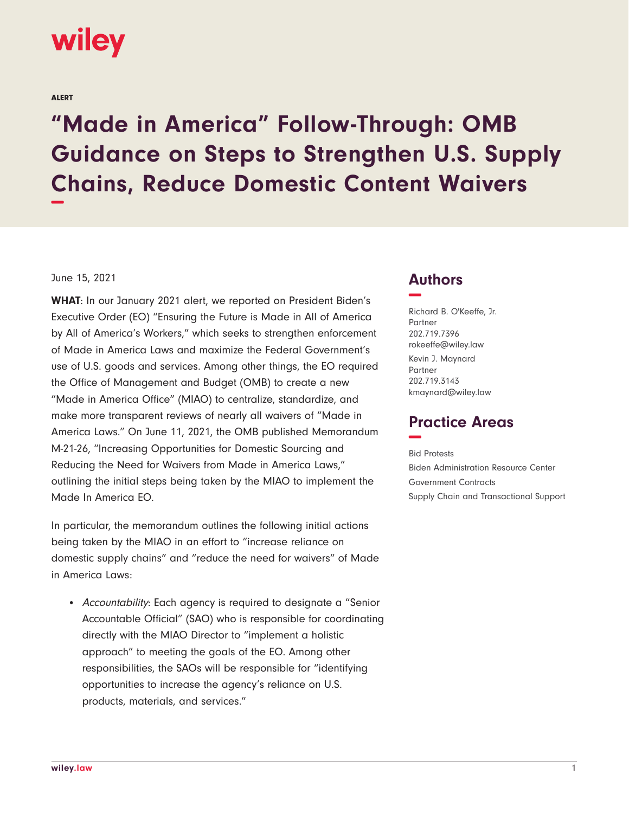

ALERT

## **"Made in America" Follow-Through: OMB Guidance on Steps to Strengthen U.S. Supply Chains, Reduce Domestic Content Waivers −**

## June 15, 2021

**WHAT**: In our January 2021 alert, we reported on President Biden's Executive Order (EO) "Ensuring the Future is Made in All of America by All of America's Workers," which seeks to strengthen enforcement of Made in America Laws and maximize the Federal Government's use of U.S. goods and services. Among other things, the EO required the Office of Management and Budget (OMB) to create a new "Made in America Office" (MIAO) to centralize, standardize, and make more transparent reviews of nearly all waivers of "Made in America Laws." On June 11, 2021, the OMB published Memorandum M-21-26, "Increasing Opportunities for Domestic Sourcing and Reducing the Need for Waivers from Made in America Laws," outlining the initial steps being taken by the MIAO to implement the Made In America EO.

In particular, the memorandum outlines the following initial actions being taken by the MIAO in an effort to "increase reliance on domestic supply chains" and "reduce the need for waivers" of Made in America Laws:

• Accountability: Each agency is required to designate a "Senior Accountable Official" (SAO) who is responsible for coordinating directly with the MIAO Director to "implement a holistic approach" to meeting the goals of the EO. Among other responsibilities, the SAOs will be responsible for "identifying opportunities to increase the agency's reliance on U.S. products, materials, and services."

## **Authors −**

Richard B. O'Keeffe, Jr. Partner 202.719.7396 rokeeffe@wiley.law Kevin J. Maynard Partner 202.719.3143 kmaynard@wiley.law

## **Practice Areas −**

Bid Protests Biden Administration Resource Center Government Contracts Supply Chain and Transactional Support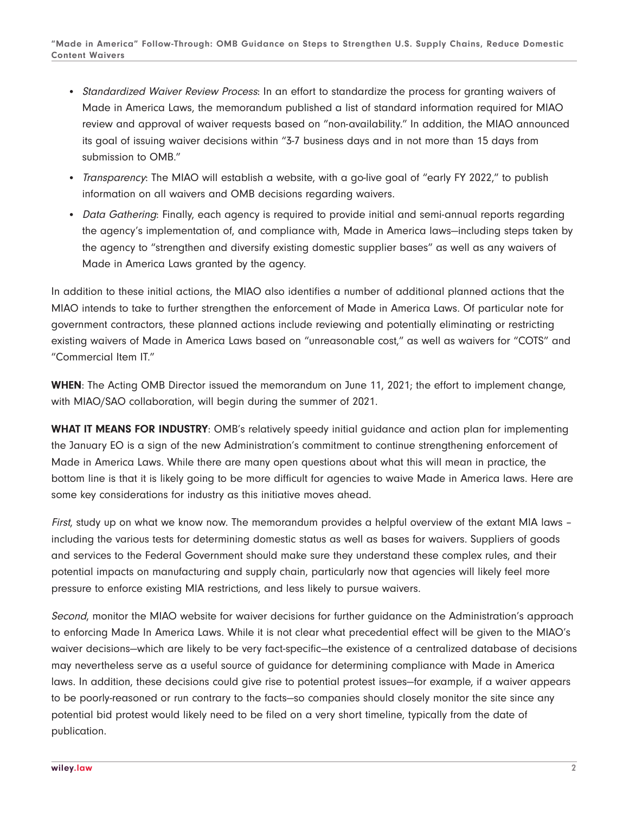- Standardized Waiver Review Process: In an effort to standardize the process for granting waivers of Made in America Laws, the memorandum published a list of standard information required for MIAO review and approval of waiver requests based on "non-availability." In addition, the MIAO announced its goal of issuing waiver decisions within "3-7 business days and in not more than 15 days from submission to OMB."
- Transparency: The MIAO will establish a website, with a go-live goal of "early FY 2022," to publish information on all waivers and OMB decisions regarding waivers.
- Data Gathering: Finally, each agency is required to provide initial and semi-annual reports regarding the agency's implementation of, and compliance with, Made in America laws—including steps taken by the agency to "strengthen and diversify existing domestic supplier bases" as well as any waivers of Made in America Laws granted by the agency.

In addition to these initial actions, the MIAO also identifies a number of additional planned actions that the MIAO intends to take to further strengthen the enforcement of Made in America Laws. Of particular note for government contractors, these planned actions include reviewing and potentially eliminating or restricting existing waivers of Made in America Laws based on "unreasonable cost," as well as waivers for "COTS" and "Commercial Item IT."

**WHEN**: The Acting OMB Director issued the memorandum on June 11, 2021; the effort to implement change, with MIAO/SAO collaboration, will begin during the summer of 2021.

**WHAT IT MEANS FOR INDUSTRY**: OMB's relatively speedy initial guidance and action plan for implementing the January EO is a sign of the new Administration's commitment to continue strengthening enforcement of Made in America Laws. While there are many open questions about what this will mean in practice, the bottom line is that it is likely going to be more difficult for agencies to waive Made in America laws. Here are some key considerations for industry as this initiative moves ahead.

First, study up on what we know now. The memorandum provides a helpful overview of the extant MIA laws – including the various tests for determining domestic status as well as bases for waivers. Suppliers of goods and services to the Federal Government should make sure they understand these complex rules, and their potential impacts on manufacturing and supply chain, particularly now that agencies will likely feel more pressure to enforce existing MIA restrictions, and less likely to pursue waivers.

Second, monitor the MIAO website for waiver decisions for further guidance on the Administration's approach to enforcing Made In America Laws. While it is not clear what precedential effect will be given to the MIAO's waiver decisions—which are likely to be very fact-specific—the existence of a centralized database of decisions may nevertheless serve as a useful source of guidance for determining compliance with Made in America laws. In addition, these decisions could give rise to potential protest issues—for example, if a waiver appears to be poorly-reasoned or run contrary to the facts—so companies should closely monitor the site since any potential bid protest would likely need to be filed on a very short timeline, typically from the date of publication.